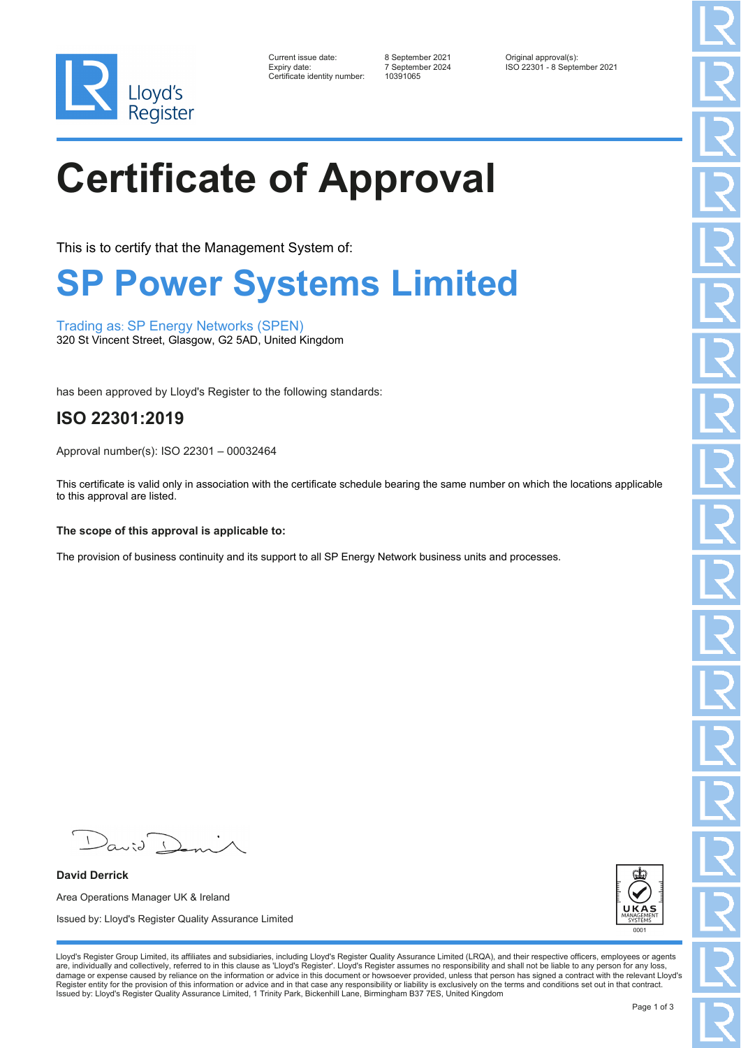

| Current issue date:         |
|-----------------------------|
| Expiry date:                |
| Certificate identity number |

10391065

Current issue date: 8 September 2021 Original approval(s): Expiry date: 7 September 2024 ISO 22301 - 8 September 2021

# **Certificate of Approval**

This is to certify that the Management System of:

### **SP Power Systems Limited**

Trading as: SP Energy Networks (SPEN) 320 St Vincent Street, Glasgow, G2 5AD, United Kingdom

has been approved by Lloyd's Register to the following standards:

### **ISO 22301:2019**

Approval number(s): ISO 22301 – 00032464

This certificate is valid only in association with the certificate schedule bearing the same number on which the locations applicable to this approval are listed.

#### **The scope of this approval is applicable to:**

The provision of business continuity and its support to all SP Energy Network business units and processes.

 $\sqrt{2}$  $a$ 

**David Derrick** Area Operations Manager UK & Ireland Issued by: Lloyd's Register Quality Assurance Limited



Lloyd's Register Group Limited, its affiliates and subsidiaries, including Lloyd's Register Quality Assurance Limited (LRQA), and their respective officers, employees or agents are, individually and collectively, referred to in this clause as 'Lloyd's Register'. Lloyd's Register assumes no responsibility and shall not be liable to any person for any loss,<br>damage or expense caused by reliance on t Register entity for the provision of this information or advice and in that case any responsibility or liability is exclusively on the terms and conditions set out in that contract. Issued by: Lloyd's Register Quality Assurance Limited, 1 Trinity Park, Bickenhill Lane, Birmingham B37 7ES, United Kingdom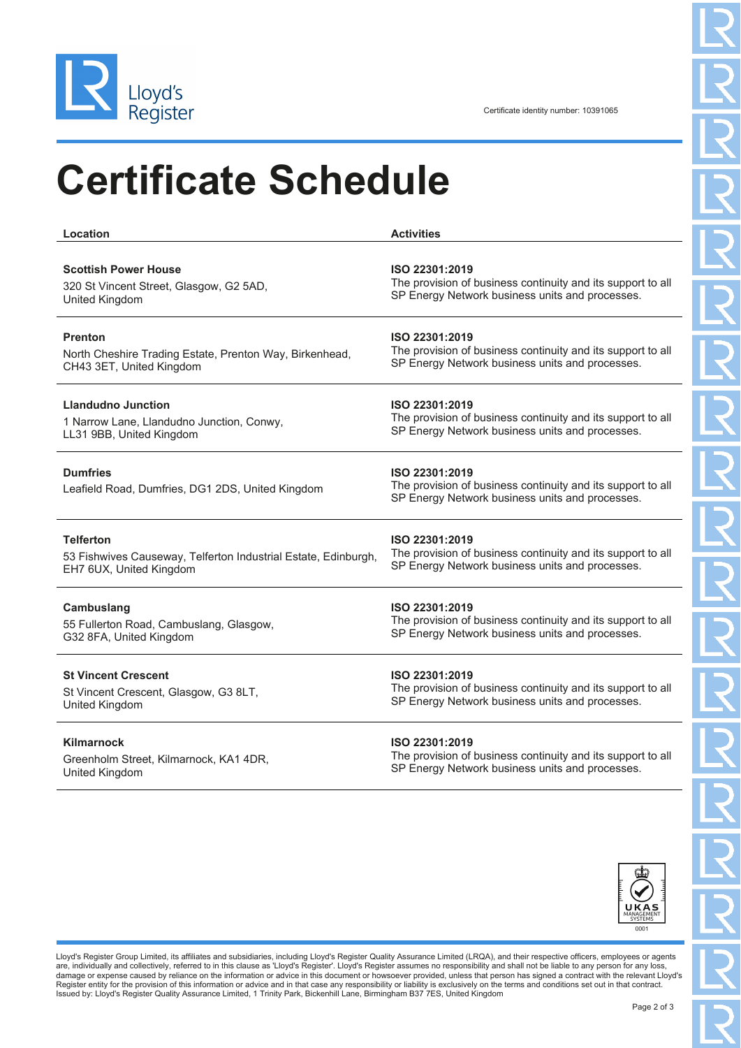

### **Certificate Schedule**

| Location                                                            | <b>Activities</b>                                                                                                                |
|---------------------------------------------------------------------|----------------------------------------------------------------------------------------------------------------------------------|
| <b>Scottish Power House</b>                                         | ISO 22301:2019                                                                                                                   |
| 320 St Vincent Street, Glasgow, G2 5AD,                             | The provision of business continuity and its support to all                                                                      |
| United Kingdom                                                      | SP Energy Network business units and processes.                                                                                  |
| <b>Prenton</b>                                                      | ISO 22301:2019                                                                                                                   |
| North Cheshire Trading Estate, Prenton Way, Birkenhead,             | The provision of business continuity and its support to all                                                                      |
| CH43 3ET, United Kingdom                                            | SP Energy Network business units and processes.                                                                                  |
| <b>Llandudno Junction</b>                                           | ISO 22301:2019                                                                                                                   |
| 1 Narrow Lane, Llandudno Junction, Conwy,                           | The provision of business continuity and its support to all                                                                      |
| LL31 9BB, United Kingdom                                            | SP Energy Network business units and processes.                                                                                  |
| <b>Dumfries</b><br>Leafield Road, Dumfries, DG1 2DS, United Kingdom | ISO 22301:2019<br>The provision of business continuity and its support to all<br>SP Energy Network business units and processes. |
| <b>Telferton</b>                                                    | ISO 22301:2019                                                                                                                   |
| 53 Fishwives Causeway, Telferton Industrial Estate, Edinburgh,      | The provision of business continuity and its support to all                                                                      |
| EH7 6UX, United Kingdom                                             | SP Energy Network business units and processes.                                                                                  |
| Cambuslang                                                          | ISO 22301:2019                                                                                                                   |
| 55 Fullerton Road, Cambuslang, Glasgow,                             | The provision of business continuity and its support to all                                                                      |
| G32 8FA, United Kingdom                                             | SP Energy Network business units and processes.                                                                                  |
| <b>St Vincent Crescent</b>                                          | ISO 22301:2019                                                                                                                   |
| St Vincent Crescent, Glasgow, G3 8LT,                               | The provision of business continuity and its support to all                                                                      |
| United Kingdom                                                      | SP Energy Network business units and processes.                                                                                  |
| <b>Kilmarnock</b>                                                   | ISO 22301:2019                                                                                                                   |

Greenholm Street, Kilmarnock, KA1 4DR, United Kingdom

The provision of business continuity and its support to all SP Energy Network business units and processes.



Lloyd's Register Group Limited, its affiliates and subsidiaries, including Lloyd's Register Quality Assurance Limited (LRQA), and their respective officers, employees or agents are, individually and collectively, referred to in this clause as 'Lloyd's Register'. Lloyd's Register assumes no responsibility and shall not be liable to any person for any loss,<br>damage or expense caused by reliance on t Register entity for the provision of this information or advice and in that case any responsibility or liability is exclusively on the terms and conditions set out in that contract.<br>Issued by: Lloyd's Register Quality Assu